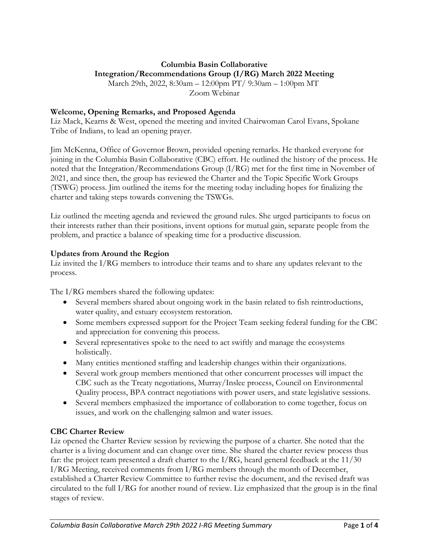# **Columbia Basin Collaborative Integration/Recommendations Group (I/RG) March 2022 Meeting**

March 29th, 2022, 8:30am – 12:00pm PT/ 9:30am – 1:00pm MT Zoom Webinar

#### **Welcome, Opening Remarks, and Proposed Agenda**

Liz Mack, Kearns & West, opened the meeting and invited Chairwoman Carol Evans, Spokane Tribe of Indians, to lead an opening prayer.

Jim McKenna, Office of Governor Brown, provided opening remarks. He thanked everyone for joining in the Columbia Basin Collaborative (CBC) effort. He outlined the history of the process. He noted that the Integration/Recommendations Group (I/RG) met for the first time in November of 2021, and since then, the group has reviewed the Charter and the Topic Specific Work Groups (TSWG) process. Jim outlined the items for the meeting today including hopes for finalizing the charter and taking steps towards convening the TSWGs.

Liz outlined the meeting agenda and reviewed the ground rules. She urged participants to focus on their interests rather than their positions, invent options for mutual gain, separate people from the problem, and practice a balance of speaking time for a productive discussion.

#### **Updates from Around the Region**

Liz invited the I/RG members to introduce their teams and to share any updates relevant to the process.

The I/RG members shared the following updates:

- Several members shared about ongoing work in the basin related to fish reintroductions, water quality, and estuary ecosystem restoration.
- Some members expressed support for the Project Team seeking federal funding for the CBC and appreciation for convening this process.
- Several representatives spoke to the need to act swiftly and manage the ecosystems holistically.
- Many entities mentioned staffing and leadership changes within their organizations.
- Several work group members mentioned that other concurrent processes will impact the CBC such as the Treaty negotiations, Murray/Inslee process, Council on Environmental Quality process, BPA contract negotiations with power users, and state legislative sessions.
- Several members emphasized the importance of collaboration to come together, focus on issues, and work on the challenging salmon and water issues.

### **CBC Charter Review**

Liz opened the Charter Review session by reviewing the purpose of a charter. She noted that the charter is a living document and can change over time. She shared the charter review process thus far: the project team presented a draft charter to the I/RG, heard general feedback at the 11/30 I/RG Meeting, received comments from  $I/RG$  members through the month of December, established a Charter Review Committee to further revise the document, and the revised draft was circulated to the full I/RG for another round of review. Liz emphasized that the group is in the final stages of review.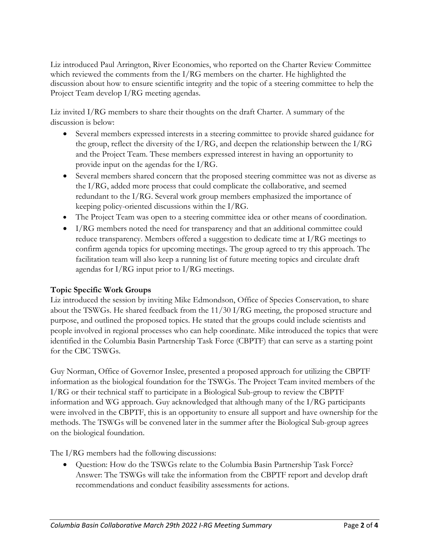Liz introduced Paul Arrington, River Economies, who reported on the Charter Review Committee which reviewed the comments from the I/RG members on the charter. He highlighted the discussion about how to ensure scientific integrity and the topic of a steering committee to help the Project Team develop I/RG meeting agendas.

Liz invited I/RG members to share their thoughts on the draft Charter. A summary of the discussion is below:

- Several members expressed interests in a steering committee to provide shared guidance for the group, reflect the diversity of the I/RG, and deepen the relationship between the I/RG and the Project Team. These members expressed interest in having an opportunity to provide input on the agendas for the I/RG.
- Several members shared concern that the proposed steering committee was not as diverse as the I/RG, added more process that could complicate the collaborative, and seemed redundant to the I/RG. Several work group members emphasized the importance of keeping policy-oriented discussions within the I/RG.
- The Project Team was open to a steering committee idea or other means of coordination.
- I/RG members noted the need for transparency and that an additional committee could reduce transparency. Members offered a suggestion to dedicate time at I/RG meetings to confirm agenda topics for upcoming meetings. The group agreed to try this approach. The facilitation team will also keep a running list of future meeting topics and circulate draft agendas for I/RG input prior to I/RG meetings.

### **Topic Specific Work Groups**

Liz introduced the session by inviting Mike Edmondson, Office of Species Conservation, to share about the TSWGs. He shared feedback from the 11/30 I/RG meeting, the proposed structure and purpose, and outlined the proposed topics. He stated that the groups could include scientists and people involved in regional processes who can help coordinate. Mike introduced the topics that were identified in the Columbia Basin Partnership Task Force (CBPTF) that can serve as a starting point for the CBC TSWGs.

Guy Norman, Office of Governor Inslee, presented a proposed approach for utilizing the CBPTF information as the biological foundation for the TSWGs. The Project Team invited members of the I/RG or their technical staff to participate in a Biological Sub-group to review the CBPTF information and WG approach. Guy acknowledged that although many of the I/RG participants were involved in the CBPTF, this is an opportunity to ensure all support and have ownership for the methods. The TSWGs will be convened later in the summer after the Biological Sub-group agrees on the biological foundation.

The I/RG members had the following discussions:

• Question: How do the TSWGs relate to the Columbia Basin Partnership Task Force? Answer: The TSWGs will take the information from the CBPTF report and develop draft recommendations and conduct feasibility assessments for actions.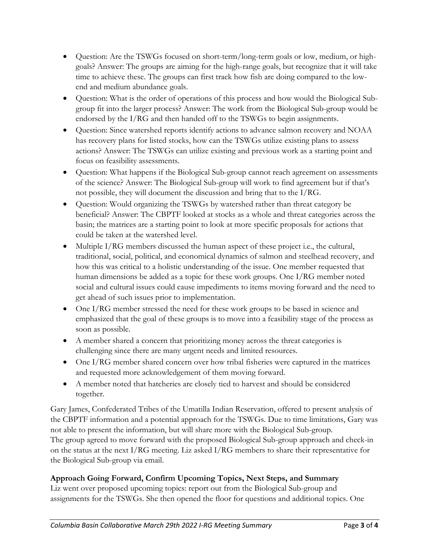- Question: Are the TSWGs focused on short-term/long-term goals or low, medium, or highgoals? Answer: The groups are aiming for the high-range goals, but recognize that it will take time to achieve these. The groups can first track how fish are doing compared to the lowend and medium abundance goals.
- Question: What is the order of operations of this process and how would the Biological Subgroup fit into the larger process? Answer: The work from the Biological Sub-group would be endorsed by the I/RG and then handed off to the TSWGs to begin assignments.
- Question: Since watershed reports identify actions to advance salmon recovery and NOAA has recovery plans for listed stocks, how can the TSWGs utilize existing plans to assess actions? Answer: The TSWGs can utilize existing and previous work as a starting point and focus on feasibility assessments.
- Question: What happens if the Biological Sub-group cannot reach agreement on assessments of the science? Answer: The Biological Sub-group will work to find agreement but if that's not possible, they will document the discussion and bring that to the I/RG.
- Question: Would organizing the TSWGs by watershed rather than threat category be beneficial? Answer: The CBPTF looked at stocks as a whole and threat categories across the basin; the matrices are a starting point to look at more specific proposals for actions that could be taken at the watershed level.
- Multiple I/RG members discussed the human aspect of these project i.e., the cultural, traditional, social, political, and economical dynamics of salmon and steelhead recovery, and how this was critical to a holistic understanding of the issue. One member requested that human dimensions be added as a topic for these work groups. One I/RG member noted social and cultural issues could cause impediments to items moving forward and the need to get ahead of such issues prior to implementation.
- One I/RG member stressed the need for these work groups to be based in science and emphasized that the goal of these groups is to move into a feasibility stage of the process as soon as possible.
- A member shared a concern that prioritizing money across the threat categories is challenging since there are many urgent needs and limited resources.
- One I/RG member shared concern over how tribal fisheries were captured in the matrices and requested more acknowledgement of them moving forward.
- A member noted that hatcheries are closely tied to harvest and should be considered together.

Gary James, Confederated Tribes of the Umatilla Indian Reservation, offered to present analysis of the CBPTF information and a potential approach for the TSWGs. Due to time limitations, Gary was not able to present the information, but will share more with the Biological Sub-group. The group agreed to move forward with the proposed Biological Sub-group approach and check-in on the status at the next I/RG meeting. Liz asked I/RG members to share their representative for the Biological Sub-group via email.

## **Approach Going Forward, Confirm Upcoming Topics, Next Steps, and Summary**

Liz went over proposed upcoming topics: report out from the Biological Sub-group and assignments for the TSWGs. She then opened the floor for questions and additional topics. One